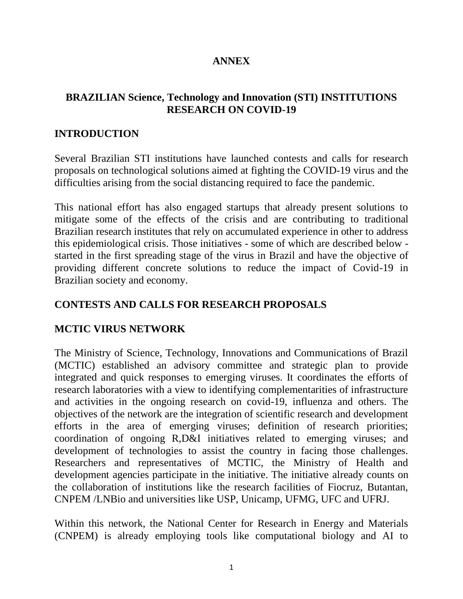# **ANNEX**

# **BRAZILIAN Science, Technology and Innovation (STI) INSTITUTIONS RESEARCH ON COVID-19**

### **INTRODUCTION**

Several Brazilian STI institutions have launched contests and calls for research proposals on technological solutions aimed at fighting the COVID-19 virus and the difficulties arising from the social distancing required to face the pandemic.

This national effort has also engaged startups that already present solutions to mitigate some of the effects of the crisis and are contributing to traditional Brazilian research institutes that rely on accumulated experience in other to address this epidemiological crisis. Those initiatives - some of which are described below started in the first spreading stage of the virus in Brazil and have the objective of providing different concrete solutions to reduce the impact of Covid-19 in Brazilian society and economy.

## **CONTESTS AND CALLS FOR RESEARCH PROPOSALS**

### **MCTIC VIRUS NETWORK**

The Ministry of Science, Technology, Innovations and Communications of Brazil (MCTIC) established an advisory committee and strategic plan to provide integrated and quick responses to emerging viruses. It coordinates the efforts of research laboratories with a view to identifying complementarities of infrastructure and activities in the ongoing research on covid-19, influenza and others. The objectives of the network are the integration of scientific research and development efforts in the area of emerging viruses; definition of research priorities; coordination of ongoing R,D&I initiatives related to emerging viruses; and development of technologies to assist the country in facing those challenges. Researchers and representatives of MCTIC, the Ministry of Health and development agencies participate in the initiative. The initiative already counts on the collaboration of institutions like the research facilities of Fiocruz, Butantan, CNPEM /LNBio and universities like USP, Unicamp, UFMG, UFC and UFRJ.

Within this network, the National Center for Research in Energy and Materials (CNPEM) is already employing tools like computational biology and AI to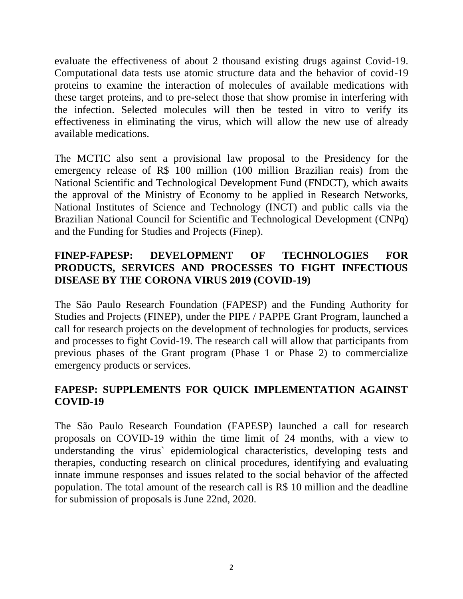evaluate the effectiveness of about 2 thousand existing drugs against Covid-19. Computational data tests use atomic structure data and the behavior of covid-19 proteins to examine the interaction of molecules of available medications with these target proteins, and to pre-select those that show promise in interfering with the infection. Selected molecules will then be tested in vitro to verify its effectiveness in eliminating the virus, which will allow the new use of already available medications.

The MCTIC also sent a provisional law proposal to the Presidency for the emergency release of R\$ 100 million (100 million Brazilian reais) from the National Scientific and Technological Development Fund (FNDCT), which awaits the approval of the Ministry of Economy to be applied in Research Networks, National Institutes of Science and Technology (INCT) and public calls via the Brazilian National Council for Scientific and Technological Development (CNPq) and the Funding for Studies and Projects (Finep).

## **FINEP-FAPESP: DEVELOPMENT OF TECHNOLOGIES FOR PRODUCTS, SERVICES AND PROCESSES TO FIGHT INFECTIOUS DISEASE BY THE CORONA VIRUS 2019 (COVID-19)**

The São Paulo Research Foundation (FAPESP) and the Funding Authority for Studies and Projects (FINEP), under the PIPE / PAPPE Grant Program, launched a call for research projects on the development of technologies for products, services and processes to fight Covid-19. The research call will allow that participants from previous phases of the Grant program (Phase 1 or Phase 2) to commercialize emergency products or services.

# **FAPESP: SUPPLEMENTS FOR QUICK IMPLEMENTATION AGAINST COVID-19**

The São Paulo Research Foundation (FAPESP) launched a call for research proposals on COVID-19 within the time limit of 24 months, with a view to understanding the virus` epidemiological characteristics, developing tests and therapies, conducting research on clinical procedures, identifying and evaluating innate immune responses and issues related to the social behavior of the affected population. The total amount of the research call is R\$ 10 million and the deadline for submission of proposals is June 22nd, 2020.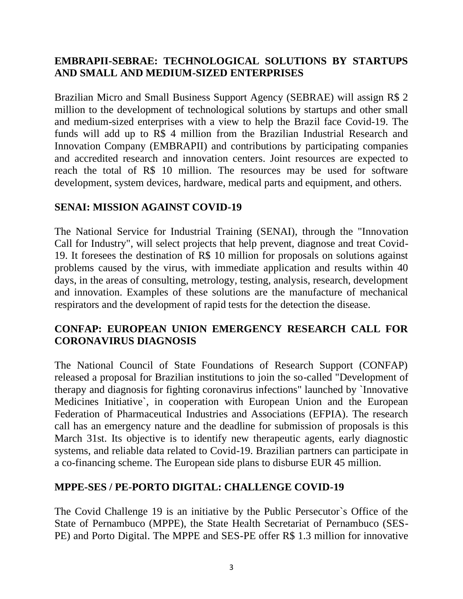## **EMBRAPII-SEBRAE: TECHNOLOGICAL SOLUTIONS BY STARTUPS AND SMALL AND MEDIUM-SIZED ENTERPRISES**

Brazilian Micro and Small Business Support Agency (SEBRAE) will assign R\$ 2 million to the development of technological solutions by startups and other small and medium-sized enterprises with a view to help the Brazil face Covid-19. The funds will add up to R\$ 4 million from the Brazilian Industrial Research and Innovation Company (EMBRAPII) and contributions by participating companies and accredited research and innovation centers. Joint resources are expected to reach the total of R\$ 10 million. The resources may be used for software development, system devices, hardware, medical parts and equipment, and others.

#### **SENAI: MISSION AGAINST COVID-19**

The National Service for Industrial Training (SENAI), through the "Innovation Call for Industry", will select projects that help prevent, diagnose and treat Covid-19. It foresees the destination of R\$ 10 million for proposals on solutions against problems caused by the virus, with immediate application and results within 40 days, in the areas of consulting, metrology, testing, analysis, research, development and innovation. Examples of these solutions are the manufacture of mechanical respirators and the development of rapid tests for the detection the disease.

### **CONFAP: EUROPEAN UNION EMERGENCY RESEARCH CALL FOR CORONAVIRUS DIAGNOSIS**

The National Council of State Foundations of Research Support (CONFAP) released a proposal for Brazilian institutions to join the so-called "Development of therapy and diagnosis for fighting coronavirus infections" launched by `Innovative Medicines Initiative`, in cooperation with European Union and the European Federation of Pharmaceutical Industries and Associations (EFPIA). The research call has an emergency nature and the deadline for submission of proposals is this March 31st. Its objective is to identify new therapeutic agents, early diagnostic systems, and reliable data related to Covid-19. Brazilian partners can participate in a co-financing scheme. The European side plans to disburse EUR 45 million.

#### **MPPE-SES / PE-PORTO DIGITAL: CHALLENGE COVID-19**

The Covid Challenge 19 is an initiative by the Public Persecutor`s Office of the State of Pernambuco (MPPE), the State Health Secretariat of Pernambuco (SES-PE) and Porto Digital. The MPPE and SES-PE offer R\$ 1.3 million for innovative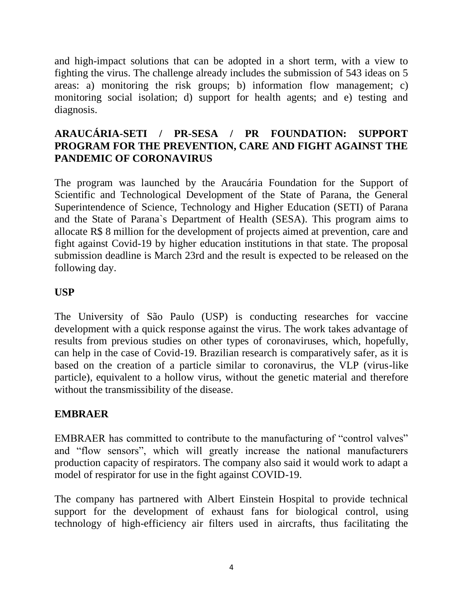and high-impact solutions that can be adopted in a short term, with a view to fighting the virus. The challenge already includes the submission of 543 ideas on 5 areas: a) monitoring the risk groups; b) information flow management; c) monitoring social isolation; d) support for health agents; and e) testing and diagnosis.

## **ARAUCÁRIA-SETI / PR-SESA / PR FOUNDATION: SUPPORT PROGRAM FOR THE PREVENTION, CARE AND FIGHT AGAINST THE PANDEMIC OF CORONAVIRUS**

The program was launched by the Araucária Foundation for the Support of Scientific and Technological Development of the State of Parana, the General Superintendence of Science, Technology and Higher Education (SETI) of Parana and the State of Parana`s Department of Health (SESA). This program aims to allocate R\$ 8 million for the development of projects aimed at prevention, care and fight against Covid-19 by higher education institutions in that state. The proposal submission deadline is March 23rd and the result is expected to be released on the following day.

### **USP**

The University of São Paulo (USP) is conducting researches for vaccine development with a quick response against the virus. The work takes advantage of results from previous studies on other types of coronaviruses, which, hopefully, can help in the case of Covid-19. Brazilian research is comparatively safer, as it is based on the creation of a particle similar to coronavirus, the VLP (virus-like particle), equivalent to a hollow virus, without the genetic material and therefore without the transmissibility of the disease.

### **EMBRAER**

EMBRAER has committed to contribute to the manufacturing of "control valves" and "flow sensors", which will greatly increase the national manufacturers production capacity of respirators. The company also said it would work to adapt a model of respirator for use in the fight against COVID-19.

The company has partnered with Albert Einstein Hospital to provide technical support for the development of exhaust fans for biological control, using technology of high-efficiency air filters used in aircrafts, thus facilitating the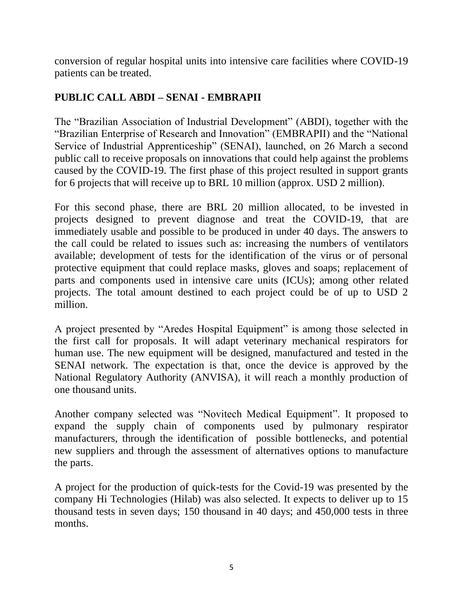conversion of regular hospital units into intensive care facilities where COVID-19 patients can be treated.

# **PUBLIC CALL ABDI – SENAI - EMBRAPII**

The "Brazilian Association of Industrial Development" (ABDI), together with the "Brazilian Enterprise of Research and Innovation" (EMBRAPII) and the "National Service of Industrial Apprenticeship" (SENAI), launched, on 26 March a second public call to receive proposals on innovations that could help against the problems caused by the COVID-19. The first phase of this project resulted in support grants for 6 projects that will receive up to BRL 10 million (approx. USD 2 million).

For this second phase, there are BRL 20 million allocated, to be invested in projects designed to prevent diagnose and treat the COVID-19, that are immediately usable and possible to be produced in under 40 days. The answers to the call could be related to issues such as: increasing the numbers of ventilators available; development of tests for the identification of the virus or of personal protective equipment that could replace masks, gloves and soaps; replacement of parts and components used in intensive care units (ICUs); among other related projects. The total amount destined to each project could be of up to USD 2 million.

A project presented by "Aredes Hospital Equipment" is among those selected in the first call for proposals. It will adapt veterinary mechanical respirators for human use. The new equipment will be designed, manufactured and tested in the SENAI network. The expectation is that, once the device is approved by the National Regulatory Authority (ANVISA), it will reach a monthly production of one thousand units.

Another company selected was "Novitech Medical Equipment". It proposed to expand the supply chain of components used by pulmonary respirator manufacturers, through the identification of possible bottlenecks, and potential new suppliers and through the assessment of alternatives options to manufacture the parts.

A project for the production of quick-tests for the Covid-19 was presented by the company Hi Technologies (Hilab) was also selected. It expects to deliver up to 15 thousand tests in seven days; 150 thousand in 40 days; and 450,000 tests in three months.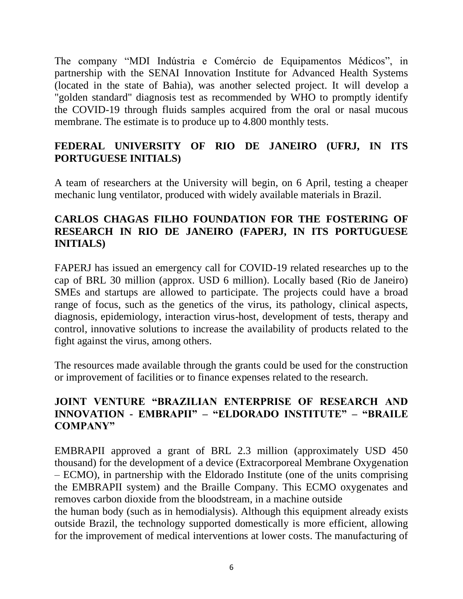The company "MDI Indústria e Comércio de Equipamentos Médicos", in partnership with the SENAI Innovation Institute for Advanced Health Systems (located in the state of Bahia), was another selected project. It will develop a "golden standard" diagnosis test as recommended by WHO to promptly identify the COVID-19 through fluids samples acquired from the oral or nasal mucous membrane. The estimate is to produce up to 4.800 monthly tests.

## **FEDERAL UNIVERSITY OF RIO DE JANEIRO (UFRJ, IN ITS PORTUGUESE INITIALS)**

A team of researchers at the University will begin, on 6 April, testing a cheaper mechanic lung ventilator, produced with widely available materials in Brazil.

# **CARLOS CHAGAS FILHO FOUNDATION FOR THE FOSTERING OF RESEARCH IN RIO DE JANEIRO (FAPERJ, IN ITS PORTUGUESE INITIALS)**

FAPERJ has issued an emergency call for COVID-19 related researches up to the cap of BRL 30 million (approx. USD 6 million). Locally based (Rio de Janeiro) SMEs and startups are allowed to participate. The projects could have a broad range of focus, such as the genetics of the virus, its pathology, clinical aspects, diagnosis, epidemiology, interaction virus-host, development of tests, therapy and control, innovative solutions to increase the availability of products related to the fight against the virus, among others.

The resources made available through the grants could be used for the construction or improvement of facilities or to finance expenses related to the research.

### **JOINT VENTURE "BRAZILIAN ENTERPRISE OF RESEARCH AND INNOVATION - EMBRAPII" – "ELDORADO INSTITUTE" – "BRAILE COMPANY"**

EMBRAPII approved a grant of BRL 2.3 million (approximately USD 450 thousand) for the development of a device (Extracorporeal Membrane Oxygenation – ECMO), in partnership with the Eldorado Institute (one of the units comprising the EMBRAPII system) and the Braille Company. This ECMO oxygenates and removes carbon dioxide from the bloodstream, in a machine outside the human body (such as in hemodialysis). Although this equipment already exists outside Brazil, the technology supported domestically is more efficient, allowing

for the improvement of medical interventions at lower costs. The manufacturing of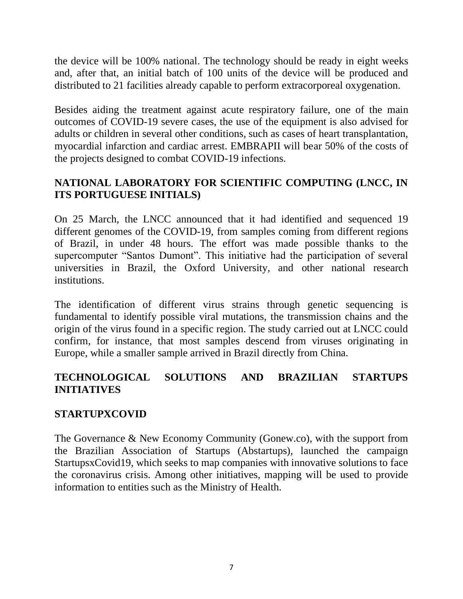the device will be 100% national. The technology should be ready in eight weeks and, after that, an initial batch of 100 units of the device will be produced and distributed to 21 facilities already capable to perform extracorporeal oxygenation.

Besides aiding the treatment against acute respiratory failure, one of the main outcomes of COVID-19 severe cases, the use of the equipment is also advised for adults or children in several other conditions, such as cases of heart transplantation, myocardial infarction and cardiac arrest. EMBRAPII will bear 50% of the costs of the projects designed to combat COVID-19 infections.

# **NATIONAL LABORATORY FOR SCIENTIFIC COMPUTING (LNCC, IN ITS PORTUGUESE INITIALS)**

On 25 March, the LNCC announced that it had identified and sequenced 19 different genomes of the COVID-19, from samples coming from different regions of Brazil, in under 48 hours. The effort was made possible thanks to the supercomputer "Santos Dumont". This initiative had the participation of several universities in Brazil, the Oxford University, and other national research institutions.

The identification of different virus strains through genetic sequencing is fundamental to identify possible viral mutations, the transmission chains and the origin of the virus found in a specific region. The study carried out at LNCC could confirm, for instance, that most samples descend from viruses originating in Europe, while a smaller sample arrived in Brazil directly from China.

# **TECHNOLOGICAL SOLUTIONS AND BRAZILIAN STARTUPS INITIATIVES**

### **STARTUPXCOVID**

The Governance & New Economy Community (Gonew.co), with the support from the Brazilian Association of Startups (Abstartups), launched the campaign StartupsxCovid19, which seeks to map companies with innovative solutions to face the coronavirus crisis. Among other initiatives, mapping will be used to provide information to entities such as the Ministry of Health.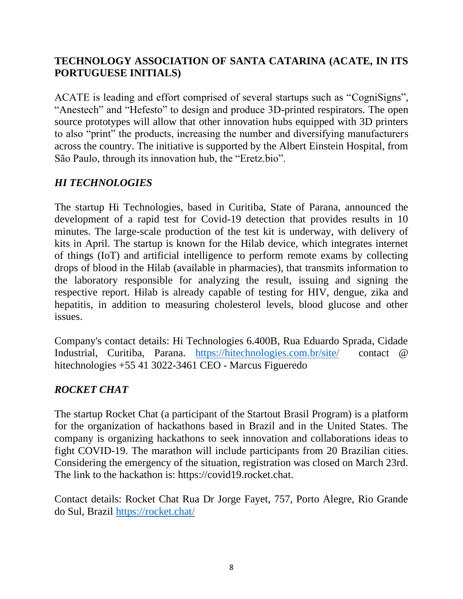## **TECHNOLOGY ASSOCIATION OF SANTA CATARINA (ACATE, IN ITS PORTUGUESE INITIALS)**

ACATE is leading and effort comprised of several startups such as "CogniSigns", "Anestech" and "Hefesto" to design and produce 3D-printed respirators. The open source prototypes will allow that other innovation hubs equipped with 3D printers to also "print" the products, increasing the number and diversifying manufacturers across the country. The initiative is supported by the Albert Einstein Hospital, from São Paulo, through its innovation hub, the "Eretz.bio".

#### *HI TECHNOLOGIES*

The startup Hi Technologies, based in Curitiba, State of Parana, announced the development of a rapid test for Covid-19 detection that provides results in 10 minutes. The large-scale production of the test kit is underway, with delivery of kits in April. The startup is known for the Hilab device, which integrates internet of things (IoT) and artificial intelligence to perform remote exams by collecting drops of blood in the Hilab (available in pharmacies), that transmits information to the laboratory responsible for analyzing the result, issuing and signing the respective report. Hilab is already capable of testing for HIV, dengue, zika and hepatitis, in addition to measuring cholesterol levels, blood glucose and other issues.

Company's contact details: Hi Technologies 6.400B, Rua Eduardo Sprada, Cidade Industrial, Curitiba, Parana. <https://hitechnologies.com.br/site/> contact @ hitechnologies +55 41 3022-3461 CEO - Marcus Figueredo

### *ROCKET CHAT*

The startup Rocket Chat (a participant of the Startout Brasil Program) is a platform for the organization of hackathons based in Brazil and in the United States. The company is organizing hackathons to seek innovation and collaborations ideas to fight COVID-19. The marathon will include participants from 20 Brazilian cities. Considering the emergency of the situation, registration was closed on March 23rd. The link to the hackathon is: https://covid19.rocket.chat.

Contact details: Rocket Chat Rua Dr Jorge Fayet, 757, Porto Alegre, Rio Grande do Sul, Brazil<https://rocket.chat/>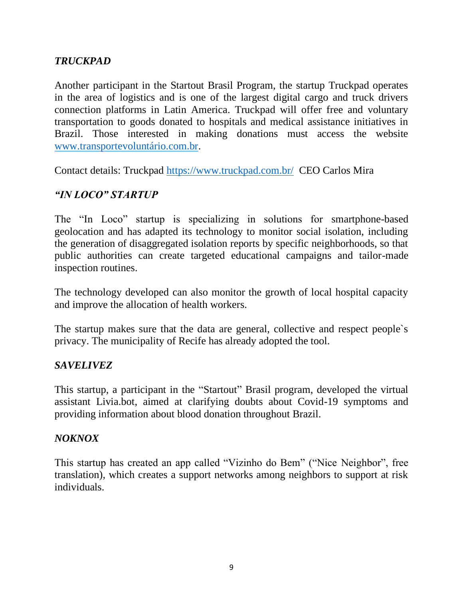## *TRUCKPAD*

Another participant in the Startout Brasil Program, the startup Truckpad operates in the area of logistics and is one of the largest digital cargo and truck drivers connection platforms in Latin America. Truckpad will offer free and voluntary transportation to goods donated to hospitals and medical assistance initiatives in Brazil. Those interested in making donations must access the website [www.transportevoluntário.com.br.](http://www.transportevoluntário.com.br/)

Contact details: Truckpad<https://www.truckpad.com.br/> CEO Carlos Mira

#### *"IN LOCO" STARTUP*

The "In Loco" startup is specializing in solutions for smartphone-based geolocation and has adapted its technology to monitor social isolation, including the generation of disaggregated isolation reports by specific neighborhoods, so that public authorities can create targeted educational campaigns and tailor-made inspection routines.

The technology developed can also monitor the growth of local hospital capacity and improve the allocation of health workers.

The startup makes sure that the data are general, collective and respect people's privacy. The municipality of Recife has already adopted the tool.

#### *SAVELIVEZ*

This startup, a participant in the "Startout" Brasil program, developed the virtual assistant Livia.bot, aimed at clarifying doubts about Covid-19 symptoms and providing information about blood donation throughout Brazil.

#### *NOKNOX*

This startup has created an app called "Vizinho do Bem" ("Nice Neighbor", free translation), which creates a support networks among neighbors to support at risk individuals.